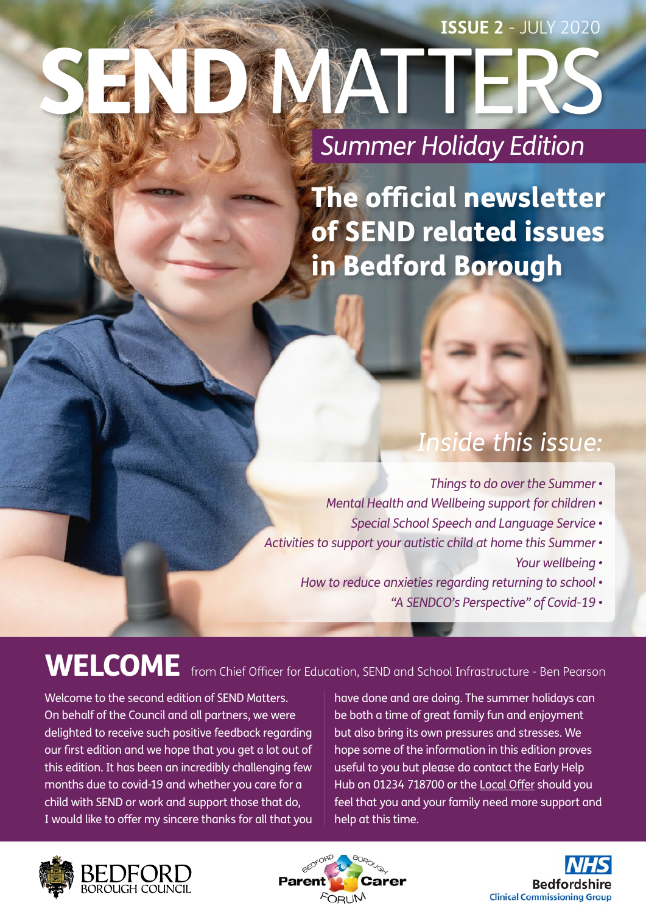# **SATTI** *Summer Holiday Edition* **ISSUE 2** - JULY 2020

The official newsletter of SEND related issues in Bedford Borough

# *Inside this issue:*

- *Things to do over the Summer*
- *Mental Health and Wellbeing support for children •*
	- *Special School Speech and Language Service •*
- *Activities to support your autistic child at home this Summer •*
	- *Your wellbeing •*
	- *How to reduce anxieties regarding returning to school* 
		- *"A SENDCO's Perspective" of Covid-19 •*

# WELCOME from Chief Officer for Education, SEND and School Infrastructure - Ben Pearson

Welcome to the second edition of SEND Matters. On behalf of the Council and all partners, we were delighted to receive such positive feedback regarding our first edition and we hope that you get a lot out of this edition. It has been an incredibly challenging few months due to covid-19 and whether you care for a child with SEND or work and support those that do, I would like to offer my sincere thanks for all that you have done and are doing. The summer holidays can be both a time of great family fun and enjoyment but also bring its own pressures and stresses. We hope some of the information in this edition proves useful to you but please do contact the Early Help Hub on 01234 718700 or the [Local Offer](https://localoffer.bedford.gov.uk/kb5/bedford/directory/home.page) should you feel that you and your family need more support and help at this time.





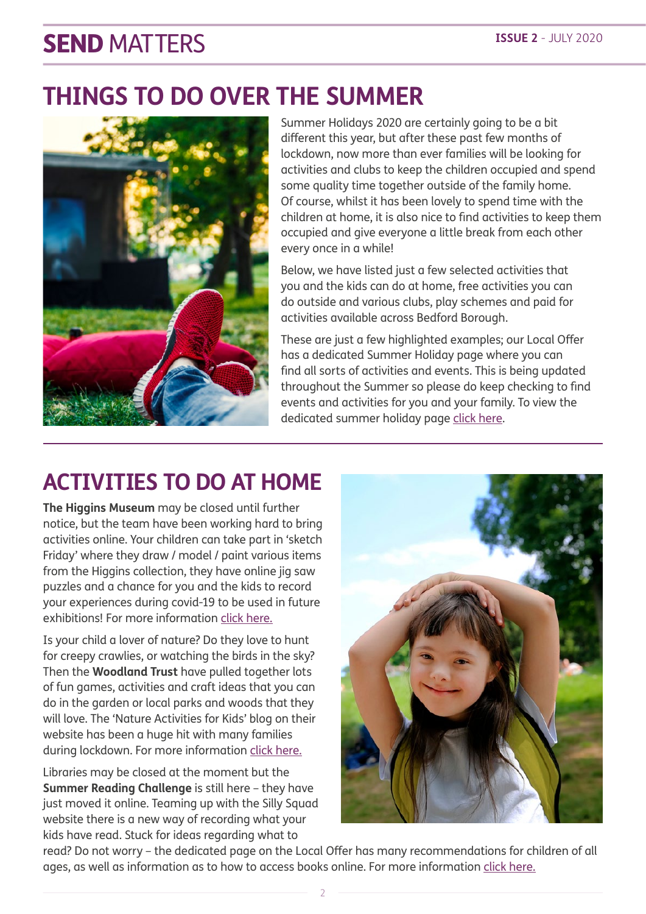### **THINGS TO DO OVER THE SUMMER**



Summer Holidays 2020 are certainly going to be a bit different this year, but after these past few months of lockdown, now more than ever families will be looking for activities and clubs to keep the children occupied and spend some quality time together outside of the family home. Of course, whilst it has been lovely to spend time with the children at home, it is also nice to find activities to keep them occupied and give everyone a little break from each other every once in a while!

Below, we have listed just a few selected activities that you and the kids can do at home, free activities you can do outside and various clubs, play schemes and paid for activities available across Bedford Borough.

These are just a few highlighted examples; our Local Offer has a dedicated Summer Holiday page where you can find all sorts of activities and events. This is being updated throughout the Summer so please do keep checking to find events and activities for you and your family. To view the dedicated summer holiday page [click here.](https://localoffer.bedford.gov.uk/kb5/bedford/directory/advice.page?id=wgMFiLYjuos)

### **ACTIVITIES TO DO AT HOME**

**The Higgins Museum** may be closed until further notice, but the team have been working hard to bring activities online. Your children can take part in 'sketch Friday' where they draw / model / paint various items from the Higgins collection, they have online jig saw puzzles and a chance for you and the kids to record your experiences during covid-19 to be used in future exhibitions! For more information [click here.](http://www.thehigginsbedford.org.uk/Whats_on/Whats_On.aspx)

Is your child a lover of nature? Do they love to hunt for creepy crawlies, or watching the birds in the sky? Then the **Woodland Trust** have pulled together lots of fun games, activities and craft ideas that you can do in the garden or local parks and woods that they will love. The 'Nature Activities for Kids' blog on their website has been a huge hit with many families during lockdown. For more information [click here.](http://www.woodlandtrust.org.uk/blog/2020/03/kids-nature-activities-self-isolation)

Libraries may be closed at the moment but the **Summer Reading Challenge** is still here – they have just moved it online. Teaming up with the Silly Squad website there is a new way of recording what your kids have read. Stuck for ideas regarding what to



read? Do not worry – the dedicated page on the Local Offer has many recommendations for children of all ages, as well as information as to how to access books online. For more information [click here.](https://localoffer.bedford.gov.uk/kb5/bedford/directory/service.page?id=euyRlU9yNsg)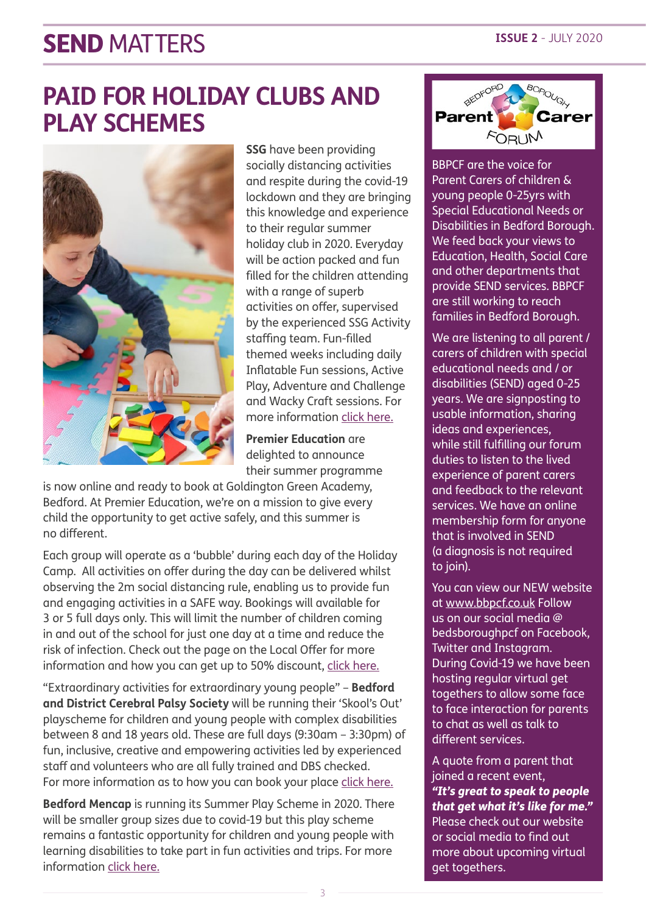### **PAID FOR HOLIDAY CLUBS AND PLAY SCHEMES**



**SSG** have been providing socially distancing activities and respite during the covid-19 lockdown and they are bringing this knowledge and experience to their regular summer holiday club in 2020. Everyday will be action packed and fun filled for the children attending with a range of superb activities on offer, supervised by the experienced SSG Activity staffing team. Fun-filled themed weeks including daily Inflatable Fun sessions, Active Play, Adventure and Challenge and Wacky Craft sessions. For more information [click here.](https://ssgservices.org/product/summer-holiday-childcare-provision-2020/)

**Premier Education** are delighted to announce their summer programme

is now online and ready to book at Goldington Green Academy, Bedford. At Premier Education, we're on a mission to give every child the opportunity to get active safely, and this summer is no different.

Each group will operate as a 'bubble' during each day of the Holiday Camp. All activities on offer during the day can be delivered whilst observing the 2m social distancing rule, enabling us to provide fun and engaging activities in a SAFE way. Bookings will available for 3 or 5 full days only. This will limit the number of children coming in and out of the school for just one day at a time and reduce the risk of infection. Check out the page on the Local Offer for more information and how you can get up to 50% discount, [click here.](https://localoffer.bedford.gov.uk/kb5/bedford/directory/service.page?id=6hqCZJ2AVWs) 

"Extraordinary activities for extraordinary young people" – **Bedford and District Cerebral Palsy Society** will be running their 'Skool's Out' playscheme for children and young people with complex disabilities between 8 and 18 years old. These are full days (9:30am – 3:30pm) of fun, inclusive, creative and empowering activities led by experienced staff and volunteers who are all fully trained and DBS checked. For more information as to how you can book your place [click here.](https://localoffer.bedford.gov.uk/kb5/bedford/directory/service.page?id=72SkM1U_06I)

**Bedford Mencap** is running its Summer Play Scheme in 2020. There will be smaller group sizes due to covid-19 but this play scheme remains a fantastic opportunity for children and young people with learning disabilities to take part in fun activities and trips. For more information [click here.](http://www.bedfordmencap.org.uk/summer_playscheme.htm)



BBPCF are the voice for Parent Carers of children & young people 0-25yrs with Special Educational Needs or Disabilities in Bedford Borough. We feed back your views to Education, Health, Social Care and other departments that provide SEND services. BBPCF are still working to reach families in Bedford Borough.

We are listening to all parent / carers of children with special educational needs and / or disabilities (SEND) aged 0-25 years. We are signposting to usable information, sharing ideas and experiences, while still fulfilling our forum duties to listen to the lived experience of parent carers and feedback to the relevant services. We have an online membership form for anyone that is involved in SEND (a diagnosis is not required to join).

You can view our NEW website at www.bbpcf.co.uk Follow us on our social media @ bedsboroughpcf on Facebook, Twitter and Instagram. During Covid-19 we have been hosting regular virtual get togethers to allow some face to face interaction for parents to chat as well as talk to different services.

A quote from a parent that joined a recent event, *"It's great to speak to people that get what it's like for me."* Please check out our website or social media to find out more about upcoming virtual get togethers.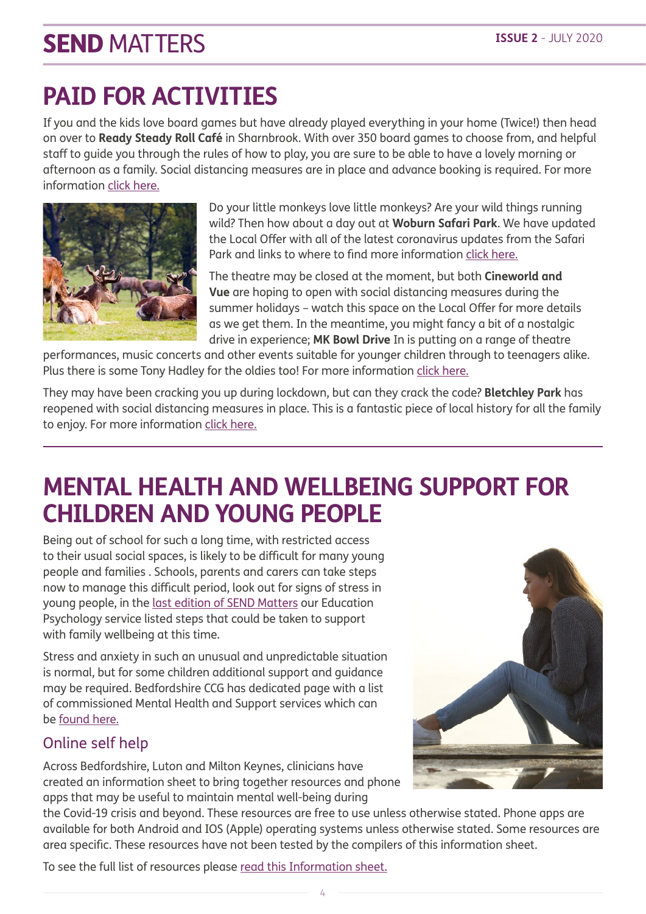# **PAID FOR ACTIVITIES**

If you and the kids love board games but have already played everything in your home (Twice!) then head on over to **Ready Steady Roll Café** in Sharnbrook. With over 350 board games to choose from, and helpful staff to guide you through the rules of how to play, you are sure to be able to have a lovely morning or afternoon as a family. Social distancing measures are in place and advance booking is required. For more information [click here.](https://localoffer.bedford.gov.uk/kb5/bedford/directory/service.page?id=Xl0xCwPQ4CI)



Do your little monkeys love little monkeys? Are your wild things running wild? Then how about a day out at **Woburn Safari Park**. We have updated the Local Offer with all of the latest coronavirus updates from the Safari Park and links to where to find more information [click here.](https://localoffer.bedford.gov.uk/kb5/bedford/directory/service.page?id=bwLtLUXwxwk)

The theatre may be closed at the moment, but both **Cineworld and Vue** are hoping to open with social distancing measures during the summer holidays – watch this space on the Local Offer for more details as we get them. In the meantime, you might fancy a bit of a nostalgic drive in experience; **MK Bowl Drive** In is putting on a range of theatre

performances, music concerts and other events suitable for younger children through to teenagers alike. Plus there is some Tony Hadley for the oldies too! For more information [click here](http://www.livenation.co.uk/festival/utilita-live-from-the-drive-in-milton-keynes-tickets).

They may have been cracking you up during lockdown, but can they crack the code? **Bletchley Park** has reopened with social distancing measures in place. This is a fantastic piece of local history for all the family to enjoy. For more information [click here](https://localoffer.bedford.gov.uk/kb5/bedford/directory/service.page?id=cFBzw8TkUtk).

### **MENTAL HEALTH AND WELLBEING SUPPORT FOR CHILDREN AND YOUNG PEOPLE**

Being out of school for such a long time, with restricted access to their usual social spaces, is likely to be difficult for many young people and families . Schools, parents and carers can take steps now to manage this difficult period, look out for signs of stress in young people, in the [last edition of SEND Matters](https://search3.openobjects.com/mediamanager/bedford/directory/files/send_matters_-_may_2020_final.pdf) our Education Psychology service listed steps that could be taken to support with family wellbeing at this time.

Stress and anxiety in such an unusual and unpredictable situation is normal, but for some children additional support and guidance may be required. Bedfordshire CCG has dedicated page with a list of commissioned Mental Health and Support services which can be [found here](http://www.bedfordshireccg.nhs.uk/page/?id=4864).

### Online self help

Across Bedfordshire, Luton and Milton Keynes, clinicians have created an information sheet to bring together resources and phone apps that may be useful to maintain mental well-being during



the Covid-19 crisis and beyond. These resources are free to use unless otherwise stated. Phone apps are available for both Android and IOS (Apple) operating systems unless otherwise stated. Some resources are area specific. These resources have not been tested by the compilers of this information sheet.

To see the full list of resources please [read this Information sheet](https://search3.openobjects.com/mediamanager/bedford/directory/files/supporting_mental_wellbeing_apps_and_resources_blmk_ccgs.pdf).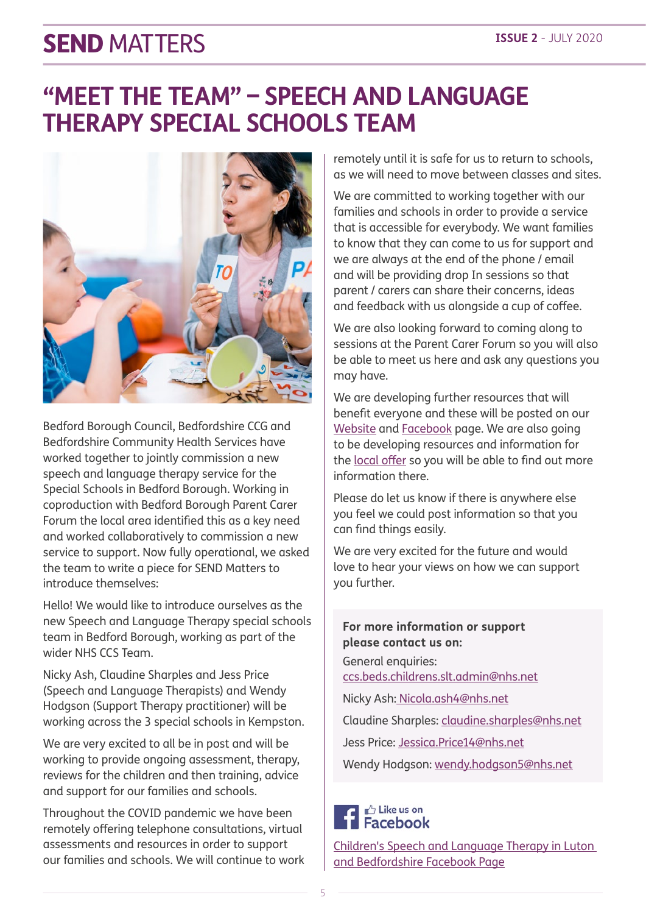### **"MEET THE TEAM" – SPEECH AND LANGUAGE THERAPY SPECIAL SCHOOLS TEAM**



Bedford Borough Council, Bedfordshire CCG and Bedfordshire Community Health Services have worked together to jointly commission a new speech and language therapy service for the Special Schools in Bedford Borough. Working in coproduction with Bedford Borough Parent Carer Forum the local area identified this as a key need and worked collaboratively to commission a new service to support. Now fully operational, we asked the team to write a piece for SEND Matters to introduce themselves:

Hello! We would like to introduce ourselves as the new Speech and Language Therapy special schools team in Bedford Borough, working as part of the wider NHS CCS Team.

Nicky Ash, Claudine Sharples and Jess Price (Speech and Language Therapists) and Wendy Hodgson (Support Therapy practitioner) will be working across the 3 special schools in Kempston.

We are very excited to all be in post and will be working to provide ongoing assessment, therapy, reviews for the children and then training, advice and support for our families and schools.

Throughout the COVID pandemic we have been remotely offering telephone consultations, virtual assessments and resources in order to support our families and schools. We will continue to work remotely until it is safe for us to return to schools, as we will need to move between classes and sites.

We are committed to working together with our families and schools in order to provide a service that is accessible for everybody. We want families to know that they can come to us for support and we are always at the end of the phone / email and will be providing drop In sessions so that parent / carers can share their concerns, ideas and feedback with us alongside a cup of coffee.

We are also looking forward to coming along to sessions at the Parent Carer Forum so you will also be able to meet us here and ask any questions you may have.

We are developing further resources that will benefit everyone and these will be posted on our [Website](https://childspeechbedfordshire.nhs.uk) and [Facebook](https://www.facebook.com/paedsltlutonbedfordshire) page. We are also going to be developing resources and information for the [local offer](https://localoffer.bedford.gov.uk/kb5/bedford/directory/home.page) so you will be able to find out more information there.

Please do let us know if there is anywhere else you feel we could post information so that you can find things easily.

We are very excited for the future and would love to hear your views on how we can support you further.

#### **For more information or support please contact us on:** General enquiries:

ccs.beds.childrens.slt.admin@nhs.net

Nicky Ash: Nicola.ash4@nhs.net

Claudine Sharples: claudine.sharples@nhs.net

Jess Price: Jessica.Price14@nhs.net

Wendy Hodgson: wendy.hodgson5@nhs.net

#### **∆** Like us on **Facebook**

[Children's Speech and Language Therapy in Luton](https://www.facebook.com/paedsltlutonbedfordshire)  [and Bedfordshire Facebook Page](https://www.facebook.com/paedsltlutonbedfordshire)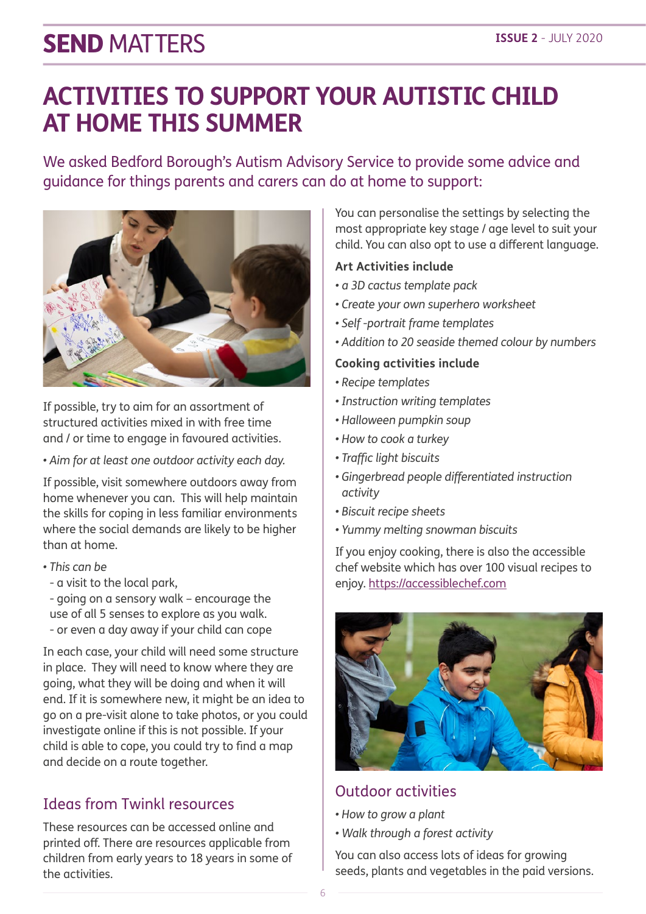### **ACTIVITIES TO SUPPORT YOUR AUTISTIC CHILD AT HOME THIS SUMMER**

We asked Bedford Borough's Autism Advisory Service to provide some advice and guidance for things parents and carers can do at home to support:



If possible, try to aim for an assortment of structured activities mixed in with free time and / or time to engage in favoured activities.

*• Aim for at least one outdoor activity each day.* 

If possible, visit somewhere outdoors away from home whenever you can. This will help maintain the skills for coping in less familiar environments where the social demands are likely to be higher than at home.

- *This can be*
- a visit to the local park,
- going on a sensory walk encourage the use of all 5 senses to explore as you walk. - or even a day away if your child can cope

In each case, your child will need some structure in place. They will need to know where they are going, what they will be doing and when it will end. If it is somewhere new, it might be an idea to go on a pre-visit alone to take photos, or you could investigate online if this is not possible. If your child is able to cope, you could try to find a map and decide on a route together.

### Ideas from Twinkl resources

These resources can be accessed online and printed off. There are resources applicable from children from early years to 18 years in some of the activities.

You can personalise the settings by selecting the most appropriate key stage / age level to suit your child. You can also opt to use a different language.

#### **Art Activities include**

- *a 3D cactus template pack*
- *Create your own superhero worksheet*
- *Self -portrait frame templates*
- *Addition to 20 seaside themed colour by numbers*

#### **Cooking activities include**

- *Recipe templates*
- *Instruction writing templates*
- *Halloween pumpkin soup*
- *How to cook a turkey*
- *Traffic light biscuits*
- *Gingerbread people differentiated instruction activity*
- *Biscuit recipe sheets*
- *Yummy melting snowman biscuits*

If you enjoy cooking, there is also the accessible chef website which has over 100 visual recipes to enjoy. https://accessiblechef.com



### Outdoor activities

- *How to grow a plant*
- *Walk through a forest activity*

You can also access lots of ideas for growing seeds, plants and vegetables in the paid versions.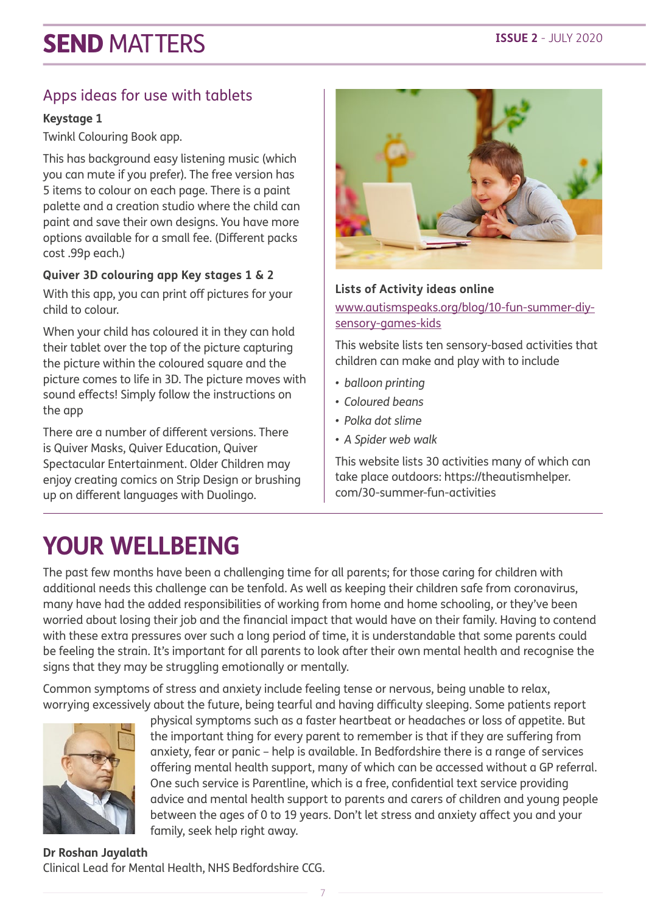### Apps ideas for use with tablets

#### **Keystage 1**

Twinkl Colouring Book app.

This has background easy listening music (which you can mute if you prefer). The free version has 5 items to colour on each page. There is a paint palette and a creation studio where the child can paint and save their own designs. You have more options available for a small fee. (Different packs cost .99p each.)

#### **Quiver 3D colouring app Key stages 1 & 2**

With this app, you can print off pictures for your child to colour.

When your child has coloured it in they can hold their tablet over the top of the picture capturing the picture within the coloured square and the picture comes to life in 3D. The picture moves with sound effects! Simply follow the instructions on the app

There are a number of different versions. There is Quiver Masks, Quiver Education, Quiver Spectacular Entertainment. Older Children may enjoy creating comics on Strip Design or brushing up on different languages with Duolingo.



#### **Lists of Activity ideas online**

www.autismspeaks.org/blog/10-fun-summer-diysensory-games-kids

This website lists ten sensory-based activities that children can make and play with to include

- *• balloon printing*
- *• Coloured beans*
- *• Polka dot slime*
- *• A Spider web walk*

This website lists 30 activities many of which can take place outdoors: https://theautismhelper. com/30-summer-fun-activities

### **YOUR WELLBEING**

The past few months have been a challenging time for all parents; for those caring for children with additional needs this challenge can be tenfold. As well as keeping their children safe from coronavirus, many have had the added responsibilities of working from home and home schooling, or they've been worried about losing their job and the financial impact that would have on their family. Having to contend with these extra pressures over such a long period of time, it is understandable that some parents could be feeling the strain. It's important for all parents to look after their own mental health and recognise the signs that they may be struggling emotionally or mentally.

Common symptoms of stress and anxiety include feeling tense or nervous, being unable to relax, worrying excessively about the future, being tearful and having difficulty sleeping. Some patients report



physical symptoms such as a faster heartbeat or headaches or loss of appetite. But the important thing for every parent to remember is that if they are suffering from anxiety, fear or panic – help is available. In Bedfordshire there is a range of services offering mental health support, many of which can be accessed without a GP referral. One such service is Parentline, which is a free, confidential text service providing advice and mental health support to parents and carers of children and young people between the ages of 0 to 19 years. Don't let stress and anxiety affect you and your family, seek help right away.

#### **Dr Roshan Jayalath** Clinical Lead for Mental Health, NHS Bedfordshire CCG.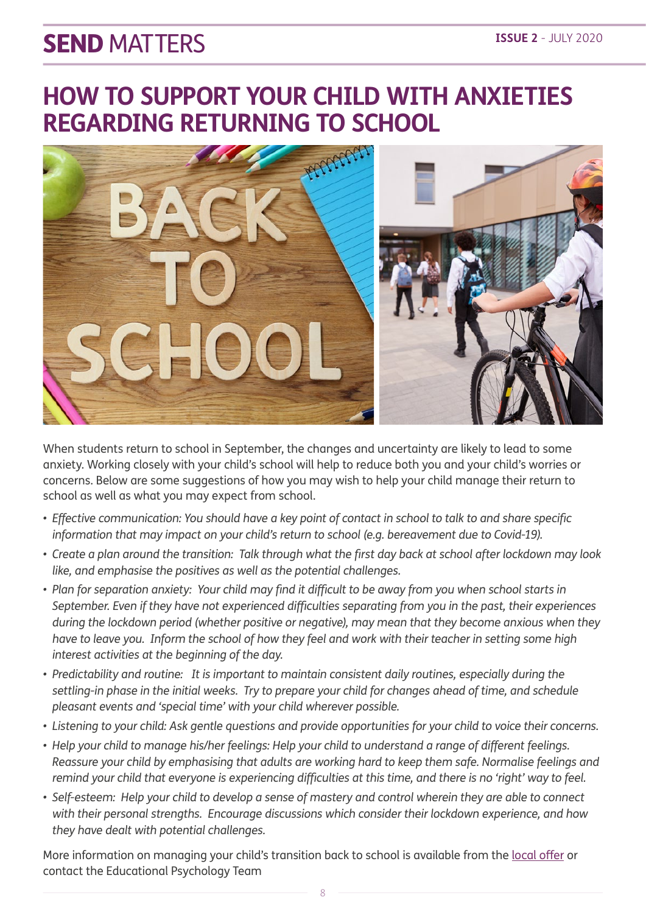### **HOW TO SUPPORT YOUR CHILD WITH ANXIETIES REGARDING RETURNING TO SCHOOL**



When students return to school in September, the changes and uncertainty are likely to lead to some anxiety. Working closely with your child's school will help to reduce both you and your child's worries or concerns. Below are some suggestions of how you may wish to help your child manage their return to school as well as what you may expect from school.

- *• Effective communication: You should have a key point of contact in school to talk to and share specific*  information that may impact on your child's return to school (e.g. bereavement due to Covid-19).
- *• Create a plan around the transition: Talk through what the first day back at school after lockdown may look like, and emphasise the positives as well as the potential challenges.*
- *• Plan for separation anxiety: Your child may find it difficult to be away from you when school starts in September. Even if they have not experienced difficulties separating from you in the past, their experiences during the lockdown period (whether positive or negative), may mean that they become anxious when they have to leave you. Inform the school of how they feel and work with their teacher in setting some high interest activities at the beginning of the day.*
- *• Predictability and routine: It is important to maintain consistent daily routines, especially during the settling-in phase in the initial weeks. Try to prepare your child for changes ahead of time, and schedule pleasant events and 'special time' with your child wherever possible.*
- *• Listening to your child: Ask gentle questions and provide opportunities for your child to voice their concerns.*
- *• Help your child to manage his/her feelings: Help your child to understand a range of different feelings. Reassure your child by emphasising that adults are working hard to keep them safe. Normalise feelings and remind your child that everyone is experiencing difficulties at this time, and there is no 'right' way to feel.*
- *• Self-esteem: Help your child to develop a sense of mastery and control wherein they are able to connect with their personal strengths. Encourage discussions which consider their lockdown experience, and how they have dealt with potential challenges.*

More information on managing your child's transition back to school is available from the [local offer](https://search3.openobjects.com/mediamanager/bedford/directory/files/cs021_20_parents-guide-to-returning-to-school_a4-v4_web_004_.pdf) or contact the Educational Psychology Team